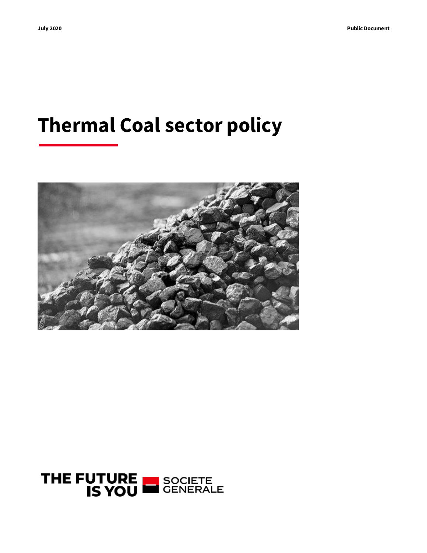# **Thermal Coal sector policy**



# THE FUTURE SOCIETE<br>GENERALE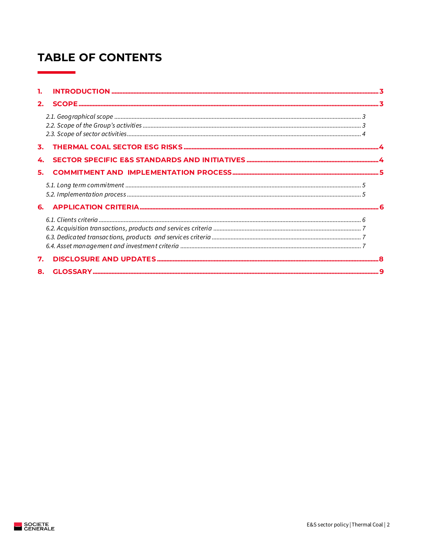# **TABLE OF CONTENTS**

| 1. |  |
|----|--|
| 2. |  |
|    |  |
|    |  |
| 4. |  |
| 5. |  |
|    |  |
|    |  |
|    |  |
| 7. |  |
| 8. |  |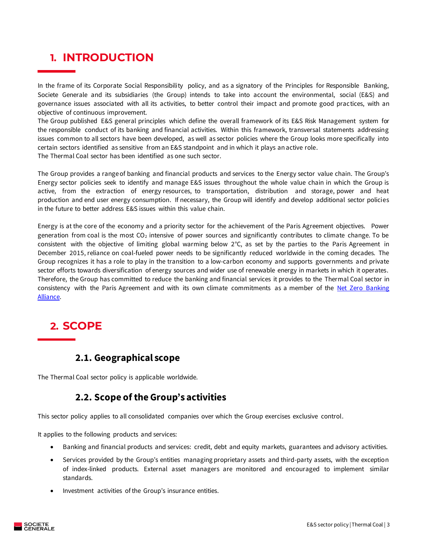### <span id="page-2-0"></span>**1. INTRODUCTION**

In the frame of its Corporate Social Responsibility policy, and as a signatory of the Principles for Responsible Banking, Societe Generale and its subsidiaries (the Group) intends to take into account the environmental, social (E&S) and governance issues associated with all its activities, to better control their impact and promote good practices, with an objective of continuous improvement.

The Group published E&S general principles which define the overall framework of its E&S Risk Management system for the responsible conduct of its banking and financial activities. Within this framework, transversal statements addressing issues common to all sectors have been developed, as well as sector policies where the Group looks more specifically into certain sectors identified as sensitive from an E&S standpoint and in which it plays an active role. The Thermal Coal sector has been identified as one such sector.

The Group provides a range of banking and financial products and services to the Energy sector value chain. The Group's Energy sector policies seek to identify and manage E&S issues throughout the whole value chain in which the Group is active, from the extraction of energy resources, to transportation, distribution and storage, power and heat production and end user energy consumption. If necessary, the Group will identify and develop additional sector policies in the future to better address E&S issues within this value chain.

Energy is at the core of the economy and a priority sector for the achievement of the Paris Agreement objectives. Power generation from coal is the most  $CO<sub>2</sub>$  intensive of power sources and significantly contributes to climate change. To be consistent with the objective of limiting global warming below 2°C, as set by the parties to the Paris Agreement in December 2015, reliance on coal-fueled power needs to be significantly reduced worldwide in the coming decades. The Group recognizes it has a role to play in the transition to a low-carbon economy and supports governments and private sector efforts towards diversification of energy sources and wider use of renewable energy in markets in which it operates. Therefore, the Group has committed to reduce the banking and financial services it provides to the Thermal Coal sector in consistency with the Paris Agreement and with its own climate commitments as a member of the [Net Zero Banking](https://www.unepfi.org/net-zero-banking/)  [Alliance.](https://www.unepfi.org/net-zero-banking/)

### <span id="page-2-1"></span>**2. SCOPE**

### **2.1. Geographical scope**

<span id="page-2-3"></span><span id="page-2-2"></span>The Thermal Coal sector policy is applicable worldwide.

### **2.2. Scope of the Group's activities**

This sector policy applies to all consolidated companies over which the Group exercises exclusive control.

It applies to the following products and services:

- Banking and financial products and services: credit, debt and equity markets, guarantees and advisory activities.
- Services provided by the Group's entities managing proprietary assets and third-party assets, with the exception of index-linked products. External asset managers are monitored and encouraged to implement similar standards.
- Investment activities of the Group's insurance entities.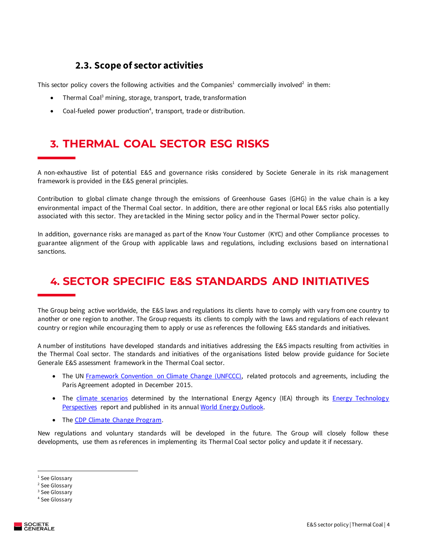### **2.3. Scope of sector activities**

<span id="page-3-0"></span>This sector policy covers the following activities and the Companies<sup>1</sup> commercially involved<sup>2</sup> in them:

- Thermal Coal<sup>3</sup> mining, storage, transport, trade, transformation
- Coal-fueled power production<sup>4</sup>, transport, trade or distribution.

### <span id="page-3-1"></span>**3. THERMAL COAL SECTOR ESG RISKS**

A non-exhaustive list of potential E&S and governance risks considered by Societe Generale in its risk management framework is provided in the E&S general principles.

Contribution to global climate change through the emissions of Greenhouse Gases (GHG) in the value chain is a key environmental impact of the Thermal Coal sector. In addition, there are other regional or local E&S risks also potentially associated with this sector. They are tackled in the Mining sector policy and in the Thermal Power sector policy.

In addition, governance risks are managed as part of the Know Your Customer (KYC) and other Compliance processes to guarantee alignment of the Group with applicable laws and regulations, including exclusions based on internationa l sanctions.

# <span id="page-3-2"></span>**4. SECTOR SPECIFIC E&S STANDARDS AND INITIATIVES**

The Group being active worldwide, the E&S laws and regulations its clients have to comply with vary from one country to another or one region to another. The Group requests its clients to comply with the laws and regulations of each relevant country or region while encouraging them to apply or use as references the following E&S standards and initiatives.

A number of institutions have developed standards and initiatives addressing the E&S impacts resulting from activities in the Thermal Coal sector. The standards and initiatives of the organisations listed below provide guidance for Societe Generale E&S assessment framework in the Thermal Coal sector.

- The UN [Framework Convention on Climate Change](http://unfccc.int/2860.php) (UNFCCC), related protocols and agreements, including the Paris Agreement adopted in December 2015.
- The [climate scenarios](https://www.iea.org/commentaries/understanding-the-world-energy-outlook-scenarios) determined by the International Energy Agency (IEA) through its **Energy Technology** [Perspectives](https://www.iea.org/topics/energy-technology-perspectives) report and published in its annua[l World Energy Outlook.](https://www.iea.org/topics/world-energy-outlook)
- The [CDP Climate Change Program.](https://www.cdp.net/climatechange)

New regulations and voluntary standards will be developed in the future. The Group will closely follow these developments, use them as references in implementing its Thermal Coal sector policy and update it if necessary.

<sup>&</sup>lt;sup>1</sup> See Glossary

<sup>2</sup> See Glossary

<sup>&</sup>lt;sup>3</sup> See Glossary

<sup>4</sup> See Glossary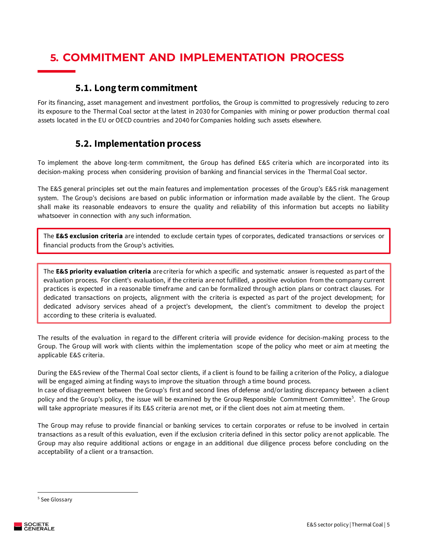# <span id="page-4-0"></span>**5. COMMITMENT AND IMPLEMENTATION PROCESS**

#### **5.1. Long term commitment**

<span id="page-4-1"></span>For its financing, asset management and investment portfolios, the Group is committed to progressively reducing to zero its exposure to the Thermal Coal sector at the latest in 2030 for Companies with mining or power production thermal coal assets located in the EU or OECD countries and 2040 for Companies holding such assets elsewhere.

### **5.2. Implementation process**

<span id="page-4-2"></span>To implement the above long-term commitment, the Group has defined E&S criteria which are incorporated into its decision-making process when considering provision of banking and financial services in the Thermal Coal sector.

The E&S general principles set out the main features and implementation processes of the Group's E&S risk management system. The Group's decisions are based on public information or information made available by the client. The Group shall make its reasonable endeavors to ensure the quality and reliability of this information but accepts no liability whatsoever in connection with any such information.

The **E&S exclusion criteria** are intended to exclude certain types of corporates, dedicated transactions or services or financial products from the Group's activities.

The **E&S priority evaluation criteria** are criteria for which a specific and systematic answer is requested as part of the evaluation process. For client's evaluation, if the criteria arenot fulfilled, a positive evolution from the company current practices is expected in a reasonable timeframe and can be formalized through action plans or contract clauses. For dedicated transactions on projects, alignment with the criteria is expected as part of the project development; for dedicated advisory services ahead of a project's development, the client's commitment to develop the project according to these criteria is evaluated.

The results of the evaluation in regard to the different criteria will provide evidence for decision-making process to the Group. The Group will work with clients within the implementation scope of the policy who meet or aim at meeting the applicable E&S criteria.

During the E&S review of the Thermal Coal sector clients, if a client is found to be failing a criterion of the Policy, a dialogue will be engaged aiming at finding ways to improve the situation through a time bound process.

In case of disagreement between the Group's first and second lines of defense and/or lasting discrepancy between a client policy and the Group's policy, the issue will be examined by the Group Responsible Commitment Committee<sup>5</sup>. The Group will take appropriate measures if its E&S criteria are not met, or if the client does not aim at meeting them.

The Group may refuse to provide financial or banking services to certain corporates or refuse to be involved in certain transactions as a result of this evaluation, even if the exclusion criteria defined in this sector policy are not applicable. The Group may also require additional actions or engage in an additional due diligence process before concluding on the acceptability of a client or a transaction.

<sup>5</sup> See Glossary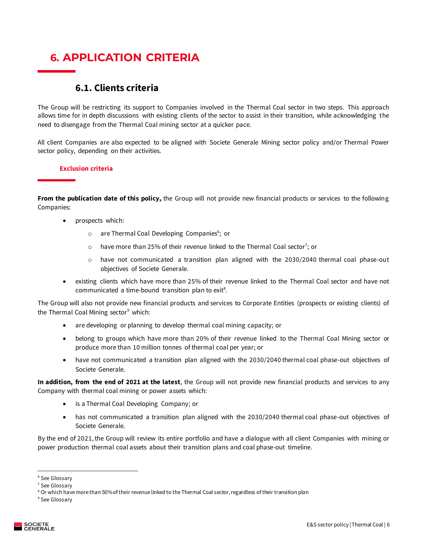# <span id="page-5-0"></span>**6. APPLICATION CRITERIA**

### **6.1. Clients criteria**

<span id="page-5-1"></span>The Group will be restricting its support to Companies involved in the Thermal Coal sector in two steps. This approach allows time for in depth discussions with existing clients of the sector to assist in their transition, while acknowledging the need to disengage from the Thermal Coal mining sector at a quicker pace.

All client Companies are also expected to be aligned with Societe Generale Mining sector policy and/or Thermal Power sector policy, depending on their activities.

#### **Exclusion criteria**

**From the publication date of this policy,** the Group will not provide new financial products or services to the following Companies:

- prospects which:
	- o are Thermal Coal Developing Companies<sup>6</sup>; or
	- $\circ$  have more than 25% of their revenue linked to the Thermal Coal sector<sup>7</sup>; or
	- o have not communicated a transition plan aligned with the 2030/2040 thermal coal phase-out objectives of Societe Generale.
- existing clients which have more than 25% of their revenue linked to the Thermal Coal sector and have not communicated a time-bound transition plan to  $exit<sup>8</sup>$ .

The Group will also not provide new financial products and services to Corporate Entities (prospects or existing clients) of the Thermal Coal Mining sector<sup>9</sup> which:

- are developing or planning to develop thermal coal mining capacity; or
- belong to groups which have more than 20% of their revenue linked to the Thermal Coal Mining sector or produce more than 10 million tonnes of thermal coal per year; or
- have not communicated a transition plan aligned with the 2030/2040 thermal coal phase-out objectives of Societe Generale.

**In addition, from the end of 2021 at the latest**, the Group will not provide new financial products and services to any Company with thermal coal mining or power assets which:

- is a Thermal Coal Developing Company; or
- has not communicated a transition plan aligned with the 2030/2040 thermal coal phase-out objectives of Societe Generale.

By the end of 2021, the Group will review its entire portfolio and have a dialogue with all client Companies with mining or power production thermal coal assets about their transition plans and coal phase-out timeline.

<sup>&</sup>lt;sup>6</sup> See Glossarv

<sup>7</sup> See Glossary

<sup>&</sup>lt;sup>8</sup> Or which have more than 50% of their revenue linked to the Thermal Coal sector, regardless of their transition plan

<sup>&</sup>lt;sup>9</sup> See Glossary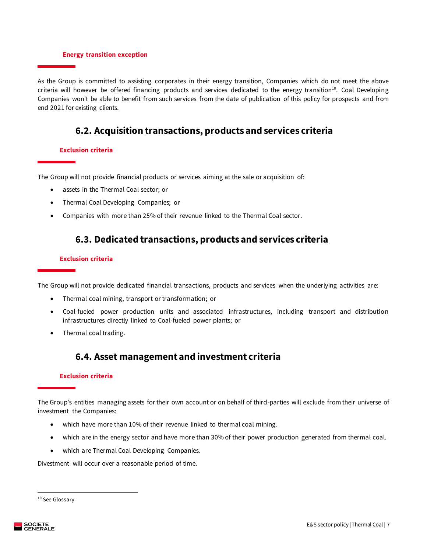#### **Energy transition exception**

As the Group is committed to assisting corporates in their energy transition, Companies which do not meet the above criteria will however be offered financing products and services dedicated to the energy transition<sup>10</sup>. Coal Developing Companies won't be able to benefit from such services from the date of publication of this policy for prospects and from end 2021 for existing clients.

### **6.2. Acquisition transactions, products and services criteria**

#### <span id="page-6-0"></span>**Exclusion criteria**

The Group will not provide financial products or services aiming at the sale or acquisition of:

- assets in the Thermal Coal sector; or
- Thermal Coal Developing Companies; or
- <span id="page-6-1"></span>• Companies with more than 25% of their revenue linked to the Thermal Coal sector.

#### **6.3. Dedicated transactions, products and services criteria**

#### **Exclusion criteria**

The Group will not provide dedicated financial transactions, products and services when the underlying activities are:

- Thermal coal mining, transport or transformation; or
- Coal-fueled power production units and associated infrastructures, including transport and distribution infrastructures directly linked to Coal-fueled power plants; or
- <span id="page-6-2"></span>• Thermal coal trading.

### **6.4. Asset management and investment criteria**

#### **Exclusion criteria**

The Group's entities managing assets for their own account or on behalf of third-parties will exclude from their universe of investment the Companies:

- which have more than 10% of their revenue linked to thermal coal mining.
- which are in the energy sector and have more than 30% of their power production generated from thermal coal.
- which are Thermal Coal Developing Companies.

Divestment will occur over a reasonable period of time.

<sup>&</sup>lt;sup>10</sup> See Glossary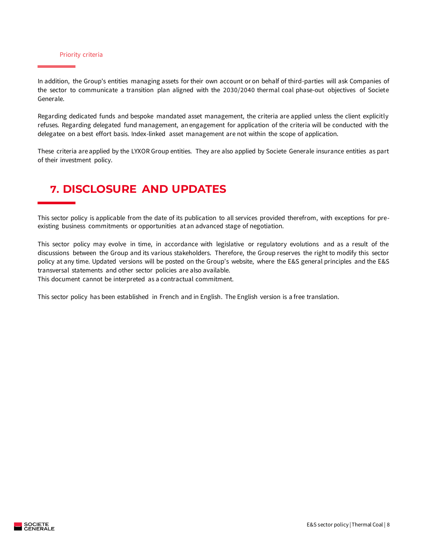#### Priority criteria

In addition, the Group's entities managing assets for their own account or on behalf of third-parties will ask Companies of the sector to communicate a transition plan aligned with the 2030/2040 thermal coal phase-out objectives of Societe Generale.

Regarding dedicated funds and bespoke mandated asset management, the criteria are applied unless the client explicitly refuses. Regarding delegated fund management, an engagement for application of the criteria will be conducted with the delegatee on a best effort basis. Index-linked asset management are not within the scope of application.

These criteria are applied by the LYXOR Group entities. They are also applied by Societe Generale insurance entities as part of their investment policy.

### <span id="page-7-0"></span>**7. DISCLOSURE AND UPDATES**

This sector policy is applicable from the date of its publication to all services provided therefrom, with exceptions for preexisting business commitments or opportunities at an advanced stage of negotiation.

This sector policy may evolve in time, in accordance with legislative or regulatory evolutions and as a result of the discussions between the Group and its various stakeholders. Therefore, the Group reserves the right to modify this sector policy at any time. Updated versions will be posted on the Group's website, where the E&S general principles and the E&S transversal statements and other sector policies are also available.

This document cannot be interpreted as a contractual commitment.

This sector policy has been established in French and in English. The English version is a free translation.